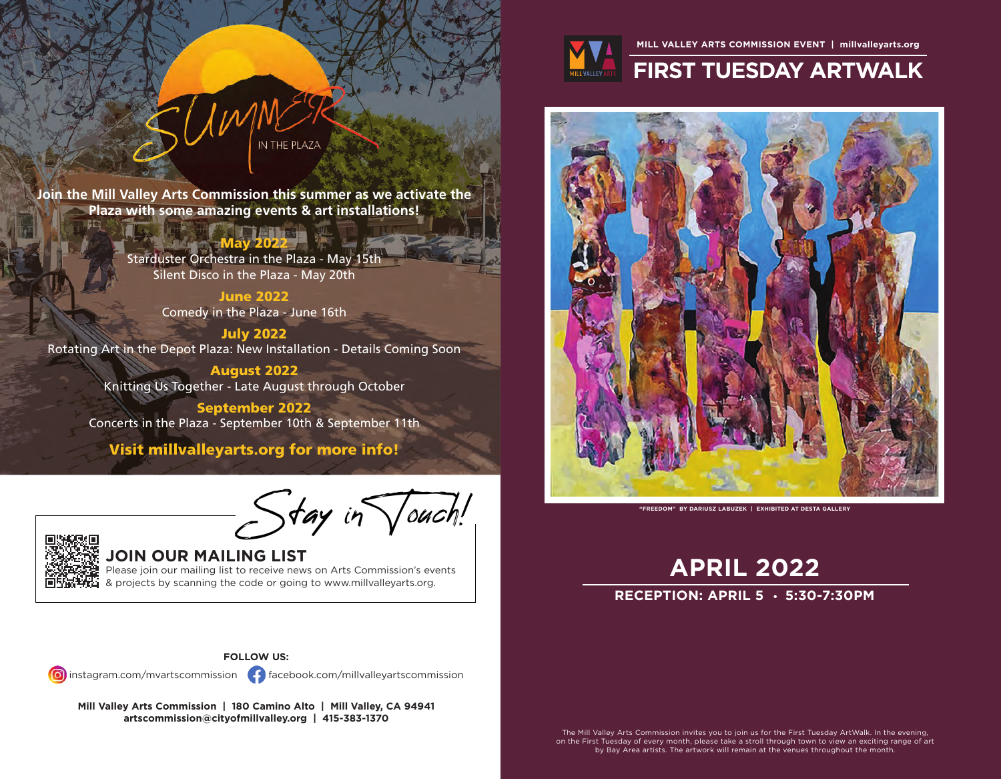

### **MILL VALLEY ARTS COMMISSION EVENT | millvalleyarts.org**

# **FIRST TUESDAY ARTWALK**



**APRIL 2022**

## **RECEPTION: APRIL 5 · 5:30-7:30PM**

The Mill Valley Arts Commission invites you to join us for the First Tuesday ArtWalk. In the evening, on the First Tuesday of every month, please take a stroll through town to view an exciting range of art by Bay Area artists. The artwork will remain at the venues throughout the month.

**Join the Mill Valley Arts Commission this summer as we activate the Plaza with some amazing events & art installations!**

## May 2022

IN THE PLAZA

Starduster Orchestra in the Plaza - May 15th Silent Disco in the Plaza - May 20th

> June 2022 Comedy in the Plaza - June 16th

July 2022 Rotating Art in the Depot Plaza: New Installation - Details Coming Soon

> August 2022 Knitting Us Together - Late August through October

September 2022 Concerts in the Plaza - September 10th & September 11th

Visit millvalleyarts.org for more info!

**Stay in Yourn! Curch! Curch!** 



## **JOIN OUR MAILING LIST**

Please join our mailing list to receive news on Arts Commission's events & projects by scanning the code or going to www.millvalleyarts.org.



 $instagram.com/mvartscommission$  facebook.com/millvalleyartscommission

**Mill Valley Arts Commission | 180 Camino Alto | Mill Valley, CA 94941 artscommission@cityofmillvalley.org | 415-383-1370**